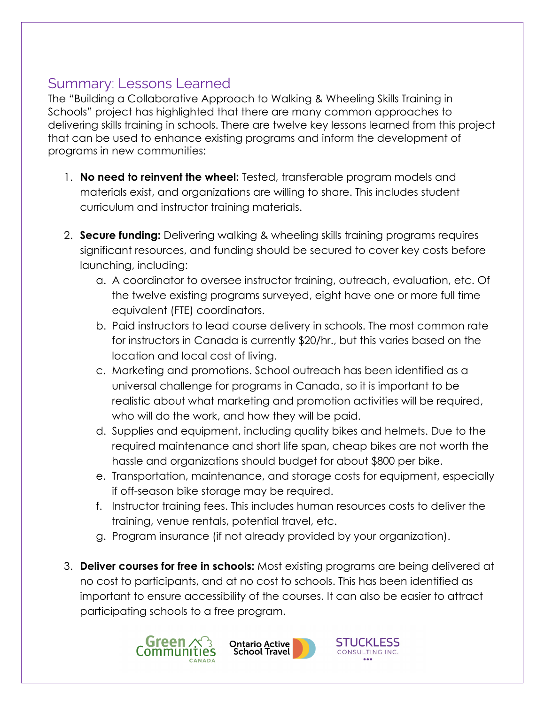## Summary: Lessons Learned

The "Building a Collaborative Approach to Walking & Wheeling Skills Training in Schools" project has highlighted that there are many common approaches to delivering skills training in schools. There are twelve key lessons learned from this project that can be used to enhance existing programs and inform the development of programs in new communities:

- 1. **No need to reinvent the wheel:** Tested, transferable program models and materials exist, and organizations are willing to share. This includes student curriculum and instructor training materials.
- 2. **Secure funding:** Delivering walking & wheeling skills training programs requires significant resources, and funding should be secured to cover key costs before launching, including:
	- a. A coordinator to oversee instructor training, outreach, evaluation, etc. Of the twelve existing programs surveyed, eight have one or more full time equivalent (FTE) coordinators.
	- b. Paid instructors to lead course delivery in schools. The most common rate for instructors in Canada is currently \$20/hr., but this varies based on the location and local cost of living.
	- c. Marketing and promotions. School outreach has been identified as a universal challenge for programs in Canada, so it is important to be realistic about what marketing and promotion activities will be required, who will do the work, and how they will be paid.
	- d. Supplies and equipment, including quality bikes and helmets. Due to the required maintenance and short life span, cheap bikes are not worth the hassle and organizations should budget for about \$800 per bike.
	- e. Transportation, maintenance, and storage costs for equipment, especially if off-season bike storage may be required.
	- f. Instructor training fees. This includes human resources costs to deliver the training, venue rentals, potential travel, etc.
	- g. Program insurance (if not already provided by your organization).
- 3. **Deliver courses for free in schools:** Most existing programs are being delivered at no cost to participants, and at no cost to schools. This has been identified as important to ensure accessibility of the courses. It can also be easier to attract participating schools to a free program.





**STUCKLESS** 

CONSULTING INC.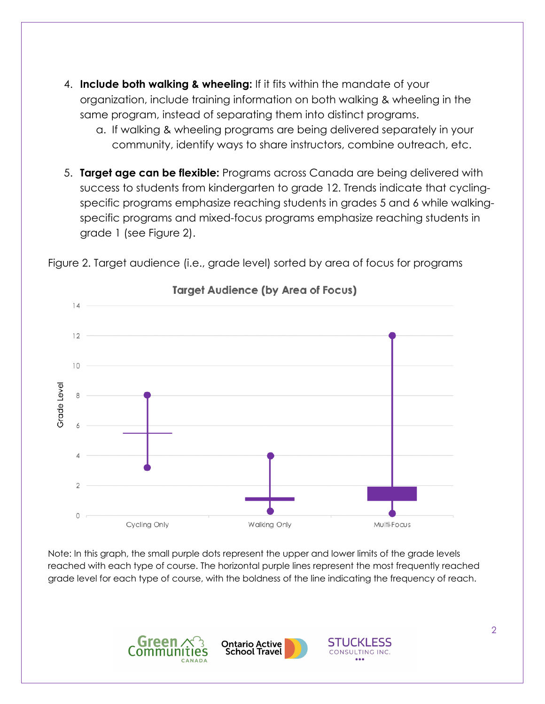- 4. **Include both walking & wheeling:** If it fits within the mandate of your organization, include training information on both walking & wheeling in the same program, instead of separating them into distinct programs.
	- a. If walking & wheeling programs are being delivered separately in your community, identify ways to share instructors, combine outreach, etc.
- 5. **Target age can be flexible:** Programs across Canada are being delivered with success to students from kindergarten to grade 12. Trends indicate that cyclingspecific programs emphasize reaching students in grades 5 and 6 while walkingspecific programs and mixed-focus programs emphasize reaching students in grade 1 (see Figure 2).



Figure 2. Target audience (i.e., grade level) sorted by area of focus for programs

Note: In this graph, the small purple dots represent the upper and lower limits of the grade levels reached with each type of course. The horizontal purple lines represent the most frequently reached grade level for each type of course, with the boldness of the line indicating the frequency of reach.





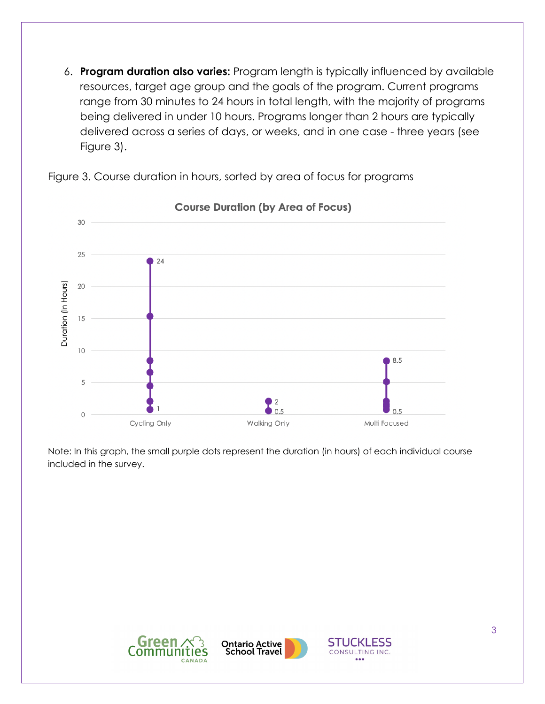6. **Program duration also varies:** Program length is typically influenced by available resources, target age group and the goals of the program. Current programs range from 30 minutes to 24 hours in total length, with the majority of programs being delivered in under 10 hours. Programs longer than 2 hours are typically delivered across a series of days, or weeks, and in one case - three years (see Figure 3).

Figure 3. Course duration in hours, sorted by area of focus for programs



**Course Duration (by Area of Focus)** 

Note: In this graph, the small purple dots represent the duration (in hours) of each individual course included in the survey.





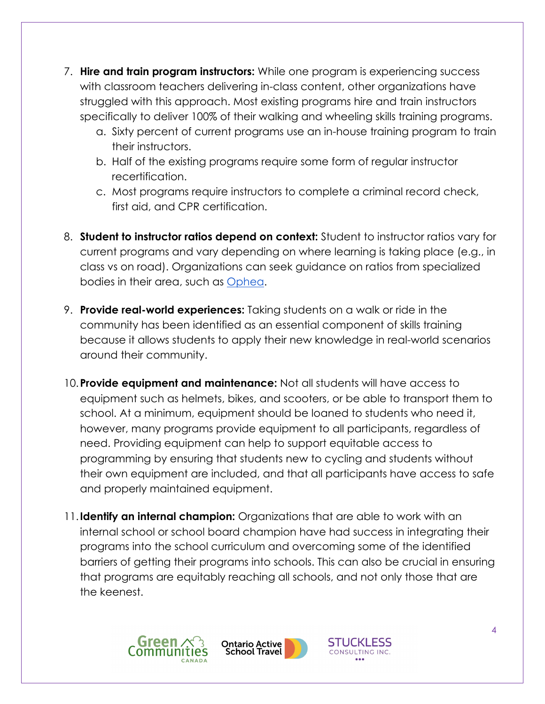- 7. **Hire and train program instructors:** While one program is experiencing success with classroom teachers delivering in-class content, other organizations have struggled with this approach. Most existing programs hire and train instructors specifically to deliver 100% of their walking and wheeling skills training programs.
	- a. Sixty percent of current programs use an in-house training program to train their instructors.
	- b. Half of the existing programs require some form of regular instructor recertification.
	- c. Most programs require instructors to complete a criminal record check, first aid, and CPR certification.
- 8. **Student to instructor ratios depend on context:** Student to instructor ratios vary for current programs and vary depending on where learning is taking place (e.g., in class vs on road). Organizations can seek guidance on ratios from specialized bodies in their area, such as Ophea.
- 9. **Provide real-world experiences:** Taking students on a walk or ride in the community has been identified as an essential component of skills training because it allows students to apply their new knowledge in real-world scenarios around their community.
- 10.**Provide equipment and maintenance:** Not all students will have access to equipment such as helmets, bikes, and scooters, or be able to transport them to school. At a minimum, equipment should be loaned to students who need it, however, many programs provide equipment to all participants, regardless of need. Providing equipment can help to support equitable access to programming by ensuring that students new to cycling and students without their own equipment are included, and that all participants have access to safe and properly maintained equipment.
- 11.**Identify an internal champion:** Organizations that are able to work with an internal school or school board champion have had success in integrating their programs into the school curriculum and overcoming some of the identified barriers of getting their programs into schools. This can also be crucial in ensuring that programs are equitably reaching all schools, and not only those that are the keenest.